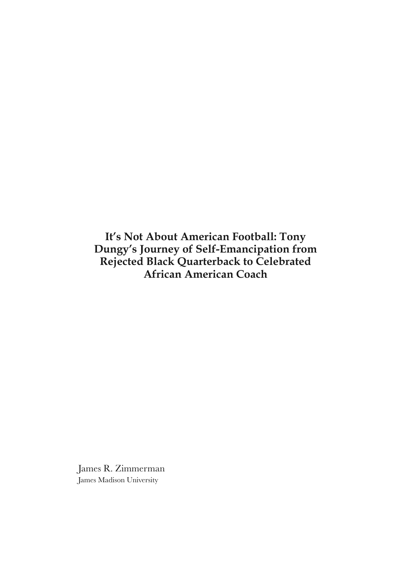**It's Not About American Football: Tony Dungy's Journey of Self-Emancipation from Rejected Black Quarterback to Celebrated African American Coach**

James R. Zimmerman James Madison University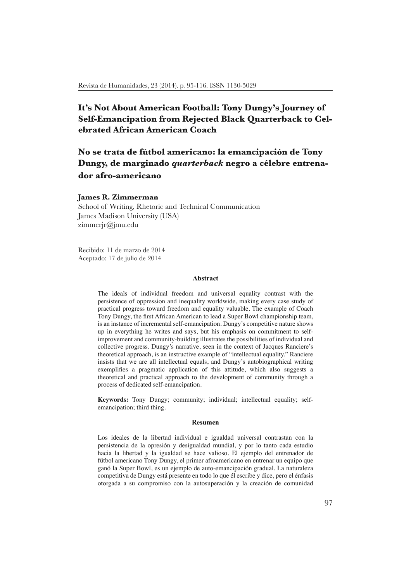# **It's Not About American Football: Tony Dungy's Journey of Self-Emancipation from Rejected Black Quarterback to Celebrated African American Coach**

**No se trata de fútbol americano: la emancipación de Tony Dungy, de marginado** *quarterback* **negro a célebre entrenador afro-americano**

#### **James R. Zimmerman**

School of Writing, Rhetoric and Technical Communication James Madison University (USA) zimmerjr@jmu.edu

Recibido: 11 de marzo de 2014 Aceptado: 17 de julio de 2014

#### **Abstract**

The ideals of individual freedom and universal equality contrast with the persistence of oppression and inequality worldwide, making every case study of practical progress toward freedom and equality valuable. The example of Coach Tony Dungy, the first African American to lead a Super Bowl championship team, is an instance of incremental self-emancipation. Dungy's competitive nature shows up in everything he writes and says, but his emphasis on commitment to selfimprovement and community-building illustrates the possibilities of individual and collective progress. Dungy's narrative, seen in the context of Jacques Ranciere's theoretical approach, is an instructive example of "intellectual equality." Ranciere insists that we are all intellectual equals, and Dungy's autobiographical writing exemplifies a pragmatic application of this attitude, which also suggests a theoretical and practical approach to the development of community through a process of dedicated self-emancipation.

**Keywords:** Tony Dungy; community; individual; intellectual equality; selfemancipation; third thing.

#### **Resumen**

Los ideales de la libertad individual e igualdad universal contrastan con la persistencia de la opresión y desigualdad mundial, y por lo tanto cada estudio hacia la libertad y la igualdad se hace valioso. El ejemplo del entrenador de fútbol americano Tony Dungy, el primer afroamericano en entrenar un equipo que ganó la Super Bowl, es un ejemplo de auto-emancipación gradual. La naturaleza competitiva de Dungy está presente en todo lo que él escribe y dice, pero el énfasis otorgada a su compromiso con la autosuperación y la creación de comunidad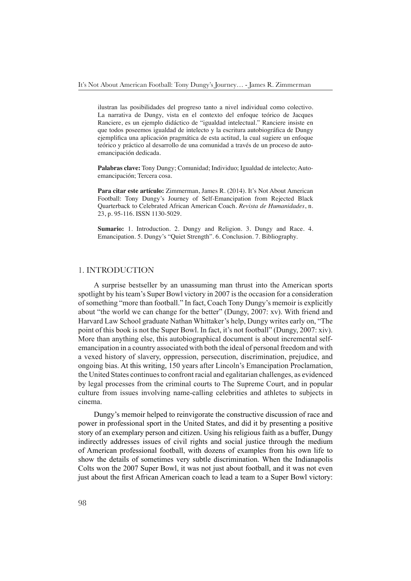ilustran las posibilidades del progreso tanto a nivel individual como colectivo. La narrativa de Dungy, vista en el contexto del enfoque teórico de Jacques Ranciere, es un ejemplo didáctico de "igualdad intelectual." Ranciere insiste en que todos poseemos igualdad de intelecto y la escritura autobiográfica de Dungy ejemplifica una aplicación pragmática de esta actitud, la cual sugiere un enfoque teórico y práctico al desarrollo de una comunidad a través de un proceso de autoemancipación dedicada.

Palabras clave: Tony Dungy; Comunidad; Individuo; Igualdad de intelecto; Autoemancipación; Tercera cosa.

**Para citar este artículo:** Zimmerman, James R. (2014). It's Not About American Football: Tony Dungy's Journey of Self-Emancipation from Rejected Black Quarterback to Celebrated African American Coach. Revista de Humanidades, n. 23, p. 95-116. ISSN 1130-5029.

**Sumario:** 1. Introduction. 2. Dungy and Religion. 3. Dungy and Race. 4. Emancipation. 5. Dungy's "Quiet Strength". 6. Conclusion. 7. Bibliography.

### 1. INTRODUCTION

A surprise bestseller by an unassuming man thrust into the American sports spotlight by his team's Super Bowl victory in 2007 is the occasion for a consideration of something "more than football." In fact, Coach Tony Dungy's memoir is explicitly about "the world we can change for the better" (Dungy, 2007: xv). With friend and Harvard Law School graduate Nathan Whittaker's help, Dungy writes early on, "The point of this book is not the Super Bowl. In fact, it's not football" (Dungy, 2007: xiv). More than anything else, this autobiographical document is about incremental selfemancipation in a country associated with both the ideal of personal freedom and with a vexed history of slavery, oppression, persecution, discrimination, prejudice, and ongoing bias. At this writing, 150 years after Lincoln's Emancipation Proclamation, the United States continues to confront racial and egalitarian challenges, as evidenced by legal processes from the criminal courts to The Supreme Court, and in popular culture from issues involving name-calling celebrities and athletes to subjects in cinema.

Dungy's memoir helped to reinvigorate the constructive discussion of race and power in professional sport in the United States, and did it by presenting a positive story of an exemplary person and citizen. Using his religious faith as a buffer, Dungy indirectly addresses issues of civil rights and social justice through the medium of American professional football, with dozens of examples from his own life to show the details of sometimes very subtle discrimination. When the Indianapolis Colts won the 2007 Super Bowl, it was not just about football, and it was not even just about the first African American coach to lead a team to a Super Bowl victory: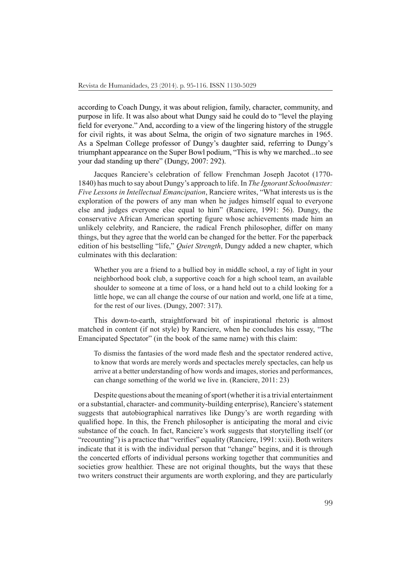according to Coach Dungy, it was about religion, family, character, community, and purpose in life. It was also about what Dungy said he could do to "level the playing field for everyone." And, according to a view of the lingering history of the struggle for civil rights, it was about Selma, the origin of two signature marches in 1965. As a Spelman College professor of Dungy's daughter said, referring to Dungy's triumphant appearance on the Super Bowl podium, "This is why we marched...to see your dad standing up there" (Dungy, 2007: 292).

Jacques Ranciere's celebration of fellow Frenchman Joseph Jacotot (1770- 1840) has much to say about Dungy's approach to life. In *The Ignorant Schoolmaster: Five Lessons in Intellectual Emancipation*, Ranciere writes, "What interests us is the exploration of the powers of any man when he judges himself equal to everyone else and judges everyone else equal to him" (Ranciere, 1991: 56). Dungy, the conservative African American sporting figure whose achievements made him an unlikely celebrity, and Ranciere, the radical French philosopher, differ on many things, but they agree that the world can be changed for the better. For the paperback edition of his bestselling "life," *Quiet Strength*, Dungy added a new chapter, which culminates with this declaration:

Whether you are a friend to a bullied boy in middle school, a ray of light in your neighborhood book club, a supportive coach for a high school team, an available shoulder to someone at a time of loss, or a hand held out to a child looking for a little hope, we can all change the course of our nation and world, one life at a time, for the rest of our lives. (Dungy, 2007: 317).

This down-to-earth, straightforward bit of inspirational rhetoric is almost matched in content (if not style) by Ranciere, when he concludes his essay, "The Emancipated Spectator" (in the book of the same name) with this claim:

To dismiss the fantasies of the word made flesh and the spectator rendered active, to know that words are merely words and spectacles merely spectacles, can help us arrive at a better understanding of how words and images, stories and performances, can change something of the world we live in. (Ranciere, 2011: 23)

Despite questions about the meaning of sport (whether it is a trivial entertainment or a substantial, character- and community-building enterprise), Ranciere's statement suggests that autobiographical narratives like Dungy's are worth regarding with qualified hope. In this, the French philosopher is anticipating the moral and civic substance of the coach. In fact, Ranciere's work suggests that storytelling itself (or "recounting") is a practice that "verifies" equality (Ranciere, 1991: xxii). Both writers indicate that it is with the individual person that "change" begins, and it is through the concerted efforts of individual persons working together that communities and societies grow healthier. These are not original thoughts, but the ways that these two writers construct their arguments are worth exploring, and they are particularly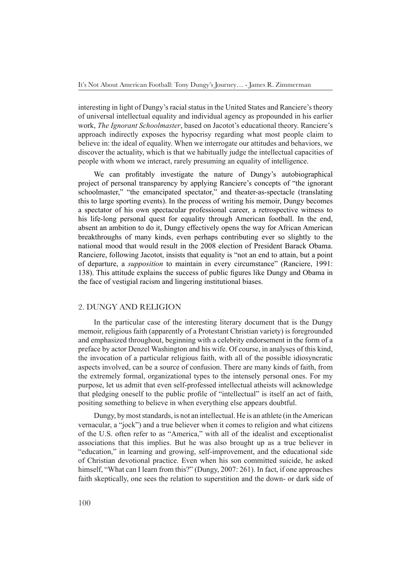interesting in light of Dungy's racial status in the United States and Ranciere's theory of universal intellectual equality and individual agency as propounded in his earlier work, *The Ignorant Schoolmaster*, based on Jacotot's educational theory. Ranciere's approach indirectly exposes the hypocrisy regarding what most people claim to believe in: the ideal of equality. When we interrogate our attitudes and behaviors, we discover the actuality, which is that we habitually judge the intellectual capacities of people with whom we interact, rarely presuming an equality of intelligence.

We can profitably investigate the nature of Dungy's autobiographical project of personal transparency by applying Ranciere's concepts of "the ignorant schoolmaster," "the emancipated spectator," and theater-as-spectacle (translating this to large sporting events). In the process of writing his memoir, Dungy becomes a spectator of his own spectacular professional career, a retrospective witness to his life-long personal quest for equality through American football. In the end, absent an ambition to do it, Dungy effectively opens the way for African American breakthroughs of many kinds, even perhaps contributing ever so slightly to the national mood that would result in the 2008 election of President Barack Obama. Ranciere, following Jacotot, insists that equality is "not an end to attain, but a point of departure, a *supposition* to maintain in every circumstance" (Ranciere, 1991: 138). This attitude explains the success of public figures like Dungy and Obama in the face of vestigial racism and lingering institutional biases.

## 2. DUNGY AND RELIGION

In the particular case of the interesting literary document that is the Dungy memoir, religious faith (apparently of a Protestant Christian variety) is foregrounded and emphasized throughout, beginning with a celebrity endorsement in the form of a preface by actor Denzel Washington and his wife. Of course, in analyses of this kind, the invocation of a particular religious faith, with all of the possible idiosyncratic aspects involved, can be a source of confusion. There are many kinds of faith, from the extremely formal, organizational types to the intensely personal ones. For my purpose, let us admit that even self-professed intellectual atheists will acknowledge that pledging oneself to the public profile of "intellectual" is itself an act of faith, positing something to believe in when everything else appears doubtful.

Dungy, by most standards, is not an intellectual. He is an athlete (in the American vernacular, a "jock") and a true believer when it comes to religion and what citizens of the U.S. often refer to as "America," with all of the idealist and exceptionalist associations that this implies. But he was also brought up as a true believer in "education," in learning and growing, self-improvement, and the educational side of Christian devotional practice. Even when his son committed suicide, he asked himself, "What can I learn from this?" (Dungy, 2007: 261). In fact, if one approaches faith skeptically, one sees the relation to superstition and the down- or dark side of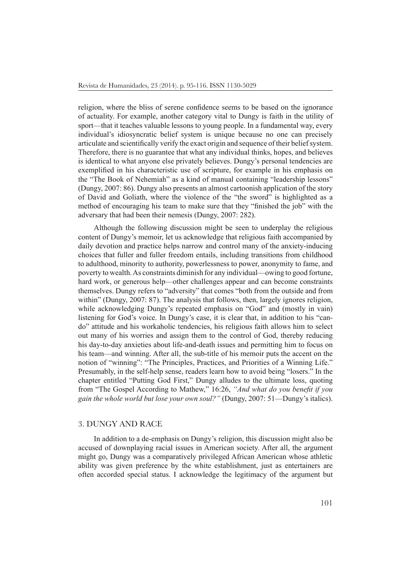religion, where the bliss of serene confidence seems to be based on the ignorance of actuality. For example, another category vital to Dungy is faith in the utility of sport—that it teaches valuable lessons to young people. In a fundamental way, every individual's idiosyncratic belief system is unique because no one can precisely articulate and scientifically verify the exact origin and sequence of their belief system. Therefore, there is no guarantee that what any individual thinks, hopes, and believes is identical to what anyone else privately believes. Dungy's personal tendencies are exemplified in his characteristic use of scripture, for example in his emphasis on the "The Book of Nehemiah" as a kind of manual containing "leadership lessons" (Dungy, 2007: 86). Dungy also presents an almost cartoonish application of the story of David and Goliath, where the violence of the "the sword" is highlighted as a method of encouraging his team to make sure that they "finished the job" with the adversary that had been their nemesis (Dungy, 2007: 282).

Although the following discussion might be seen to underplay the religious content of Dungy's memoir, let us acknowledge that religious faith accompanied by daily devotion and practice helps narrow and control many of the anxiety-inducing choices that fuller and fuller freedom entails, including transitions from childhood to adulthood, minority to authority, powerlessness to power, anonymity to fame, and poverty to wealth. As constraints diminish for any individual—owing to good fortune, hard work, or generous help—other challenges appear and can become constraints themselves. Dungy refers to "adversity" that comes "both from the outside and from within" (Dungy, 2007: 87). The analysis that follows, then, largely ignores religion, while acknowledging Dungy's repeated emphasis on "God" and (mostly in vain) listening for God's voice. In Dungy's case, it is clear that, in addition to his "cando" attitude and his workaholic tendencies, his religious faith allows him to select out many of his worries and assign them to the control of God, thereby reducing his day-to-day anxieties about life-and-death issues and permitting him to focus on his team—and winning. After all, the sub-title of his memoir puts the accent on the notion of "winning": "The Principles, Practices, and Priorities of a Winning Life." Presumably, in the self-help sense, readers learn how to avoid being "losers." In the chapter entitled "Putting God First," Dungy alludes to the ultimate loss, quoting from "The Gospel According to Mathew," 16:26, "And what do you benefit if you *gain the whole world but lose your own soul?"* (Dungy, 2007: 51—Dungy's italics).

### 3. DUNGY AND RACE

In addition to a de-emphasis on Dungy's religion, this discussion might also be accused of downplaying racial issues in American society. After all, the argument might go, Dungy was a comparatively privileged African American whose athletic ability was given preference by the white establishment, just as entertainers are often accorded special status. I acknowledge the legitimacy of the argument but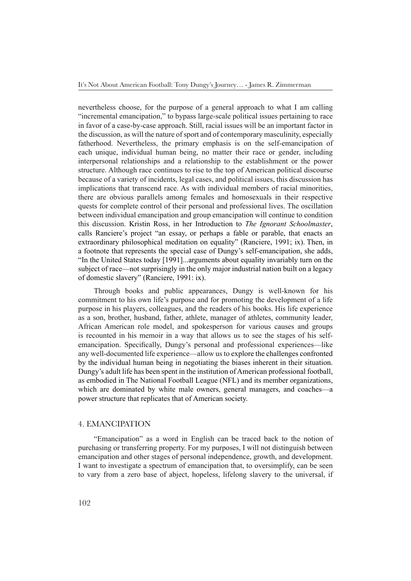nevertheless choose, for the purpose of a general approach to what I am calling "incremental emancipation," to bypass large-scale political issues pertaining to race in favor of a case-by-case approach. Still, racial issues will be an important factor in the discussion, as will the nature of sport and of contemporary masculinity, especially fatherhood. Nevertheless, the primary emphasis is on the self-emancipation of each unique, individual human being, no matter their race or gender, including interpersonal relationships and a relationship to the establishment or the power structure. Although race continues to rise to the top of American political discourse because of a variety of incidents, legal cases, and political issues, this discussion has implications that transcend race. As with individual members of racial minorities, there are obvious parallels among females and homosexuals in their respective quests for complete control of their personal and professional lives. The oscillation between individual emancipation and group emancipation will continue to condition this discussion. Kristin Ross, in her Introduction to *The Ignorant Schoolmaster*, calls Ranciere's project "an essay, or perhaps a fable or parable, that enacts an extraordinary philosophical meditation on equality" (Ranciere, 1991; ix). Then, in a footnote that represents the special case of Dungy's self-emancipation, she adds, "In the United States today [1991]...arguments about equality invariably turn on the subject of race—not surprisingly in the only major industrial nation built on a legacy of domestic slavery" (Ranciere, 1991: ix).

Through books and public appearances, Dungy is well-known for his commitment to his own life's purpose and for promoting the development of a life purpose in his players, colleagues, and the readers of his books. His life experience as a son, brother, husband, father, athlete, manager of athletes, community leader, African American role model, and spokesperson for various causes and groups is recounted in his memoir in a way that allows us to see the stages of his selfemancipation. Specifically, Dungy's personal and professional experiences—like any well-documented life experience—allow us to explore the challenges confronted by the individual human being in negotiating the biases inherent in their situation. Dungy's adult life has been spent in the institution of American professional football, as embodied in The National Football League (NFL) and its member organizations, which are dominated by white male owners, general managers, and coaches—a power structure that replicates that of American society.

#### 4. EMANCIPATION

"Emancipation" as a word in English can be traced back to the notion of purchasing or transferring property. For my purposes, I will not distinguish between emancipation and other stages of personal independence, growth, and development. I want to investigate a spectrum of emancipation that, to oversimplify, can be seen to vary from a zero base of abject, hopeless, lifelong slavery to the universal, if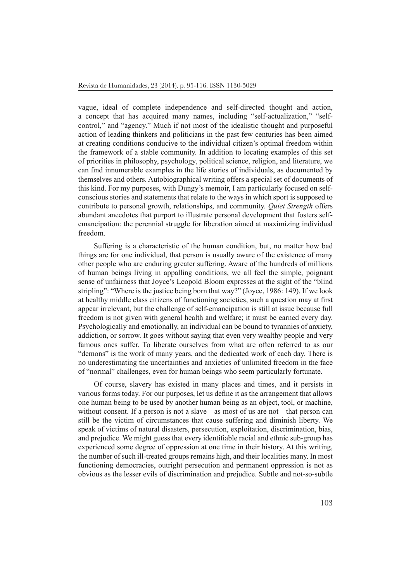vague, ideal of complete independence and self-directed thought and action, a concept that has acquired many names, including "self-actualization," "selfcontrol," and "agency." Much if not most of the idealistic thought and purposeful action of leading thinkers and politicians in the past few centuries has been aimed at creating conditions conducive to the individual citizen's optimal freedom within the framework of a stable community. In addition to locating examples of this set of priorities in philosophy, psychology, political science, religion, and literature, we can find innumerable examples in the life stories of individuals, as documented by themselves and others. Autobiographical writing offers a special set of documents of this kind. For my purposes, with Dungy's memoir, I am particularly focused on selfconscious stories and statements that relate to the ways in which sport is supposed to contribute to personal growth, relationships, and community. *Quiet Strength* offers abundant anecdotes that purport to illustrate personal development that fosters selfemancipation: the perennial struggle for liberation aimed at maximizing individual freedom.

Suffering is a characteristic of the human condition, but, no matter how bad things are for one individual, that person is usually aware of the existence of many other people who are enduring greater suffering. Aware of the hundreds of millions of human beings living in appalling conditions, we all feel the simple, poignant sense of unfairness that Joyce's Leopold Bloom expresses at the sight of the "blind stripling": "Where is the justice being born that way?" (Joyce, 1986: 149). If we look at healthy middle class citizens of functioning societies, such a question may at first appear irrelevant, but the challenge of self-emancipation is still at issue because full freedom is not given with general health and welfare; it must be earned every day. Psychologically and emotionally, an individual can be bound to tyrannies of anxiety, addiction, or sorrow. It goes without saying that even very wealthy people and very famous ones suffer. To liberate ourselves from what are often referred to as our "demons" is the work of many years, and the dedicated work of each day. There is no underestimating the uncertainties and anxieties of unlimited freedom in the face of "normal" challenges, even for human beings who seem particularly fortunate.

Of course, slavery has existed in many places and times, and it persists in various forms today. For our purposes, let us define it as the arrangement that allows one human being to be used by another human being as an object, tool, or machine, without consent. If a person is not a slave—as most of us are not—that person can still be the victim of circumstances that cause suffering and diminish liberty. We speak of victims of natural disasters, persecution, exploitation, discrimination, bias, and prejudice. We might guess that every identifiable racial and ethnic sub-group has experienced some degree of oppression at one time in their history. At this writing, the number of such ill-treated groups remains high, and their localities many. In most functioning democracies, outright persecution and permanent oppression is not as obvious as the lesser evils of discrimination and prejudice. Subtle and not-so-subtle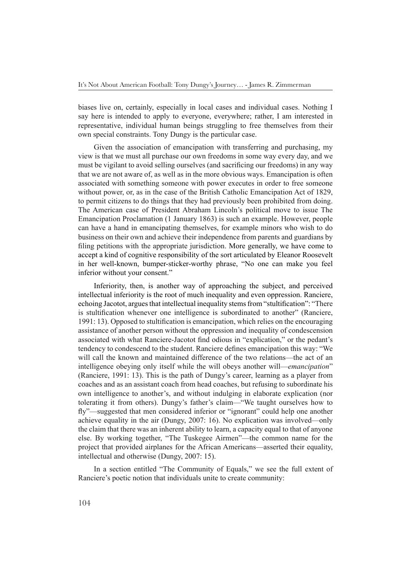biases live on, certainly, especially in local cases and individual cases. Nothing I say here is intended to apply to everyone, everywhere; rather, I am interested in representative, individual human beings struggling to free themselves from their own special constraints. Tony Dungy is the particular case.

Given the association of emancipation with transferring and purchasing, my view is that we must all purchase our own freedoms in some way every day, and we must be vigilant to avoid selling ourselves (and sacrificing our freedoms) in any way that we are not aware of, as well as in the more obvious ways. Emancipation is often associated with something someone with power executes in order to free someone without power, or, as in the case of the British Catholic Emancipation Act of 1829, to permit citizens to do things that they had previously been prohibited from doing. The American case of President Abraham Lincoln's political move to issue The Emancipation Proclamation (1 January 1863) is such an example. However, people can have a hand in emancipating themselves, for example minors who wish to do business on their own and achieve their independence from parents and guardians by filing petitions with the appropriate jurisdiction. More generally, we have come to accept a kind of cognitive responsibility of the sort articulated by Eleanor Roosevelt in her well-known, bumper-sticker-worthy phrase, "No one can make you feel inferior without your consent."

Inferiority, then, is another way of approaching the subject, and perceived intellectual inferiority is the root of much inequality and even oppression. Ranciere, echoing Jacotot, argues that intellectual inequality stems from "stultification": "There is stultification whenever one intelligence is subordinated to another" (Ranciere, 1991: 13). Opposed to stultification is emancipation, which relies on the encouraging assistance of another person without the oppression and inequality of condescension associated with what Ranciere-Jacotot find odious in "explication," or the pedant's tendency to condescend to the student. Ranciere defines emancipation this way: "We will call the known and maintained difference of the two relations—the act of an intelligence obeying only itself while the will obeys another will—*emancipation*" (Ranciere, 1991: 13). This is the path of Dungy's career, learning as a player from coaches and as an assistant coach from head coaches, but refusing to subordinate his own intelligence to another's, and without indulging in elaborate explication (nor tolerating it from others). Dungy's father's claim—"We taught ourselves how to fly"—suggested that men considered inferior or "ignorant" could help one another achieve equality in the air (Dungy, 2007: 16). No explication was involved—only the claim that there was an inherent ability to learn, a capacity equal to that of anyone else. By working together, "The Tuskegee Airmen"—the common name for the project that provided airplanes for the African Americans—asserted their equality, intellectual and otherwise (Dungy, 2007: 15).

In a section entitled "The Community of Equals," we see the full extent of Ranciere's poetic notion that individuals unite to create community: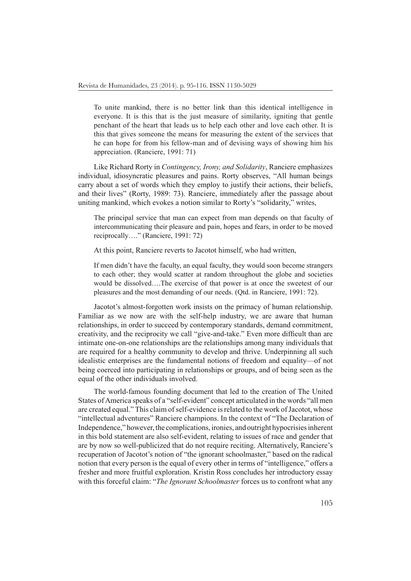To unite mankind, there is no better link than this identical intelligence in everyone. It is this that is the just measure of similarity, igniting that gentle penchant of the heart that leads us to help each other and love each other. It is this that gives someone the means for measuring the extent of the services that he can hope for from his fellow-man and of devising ways of showing him his appreciation. (Ranciere, 1991: 71)

Like Richard Rorty in *Contingency, Irony, and Solidarity*, Ranciere emphasizes individual, idiosyncratic pleasures and pains. Rorty observes, "All human beings carry about a set of words which they employ to justify their actions, their beliefs, and their lives" (Rorty, 1989: 73). Ranciere, immediately after the passage about uniting mankind, which evokes a notion similar to Rorty's "solidarity," writes,

The principal service that man can expect from man depends on that faculty of intercommunicating their pleasure and pain, hopes and fears, in order to be moved reciprocally…." (Ranciere, 1991: 72)

At this point, Ranciere reverts to Jacotot himself, who had written,

If men didn't have the faculty, an equal faculty, they would soon become strangers to each other; they would scatter at random throughout the globe and societies would be dissolved….The exercise of that power is at once the sweetest of our pleasures and the most demanding of our needs. (Qtd. in Ranciere, 1991: 72).

Jacotot's almost-forgotten work insists on the primacy of human relationship. Familiar as we now are with the self-help industry, we are aware that human relationships, in order to succeed by contemporary standards, demand commitment, creativity, and the reciprocity we call "give-and-take." Even more difficult than are intimate one-on-one relationships are the relationships among many individuals that are required for a healthy community to develop and thrive. Underpinning all such idealistic enterprises are the fundamental notions of freedom and equality—of not being coerced into participating in relationships or groups, and of being seen as the equal of the other individuals involved.

The world-famous founding document that led to the creation of The United States of America speaks of a "self-evident" concept articulated in the words "all men are created equal." This claim of self-evidence is related to the work of Jacotot, whose "intellectual adventures" Ranciere champions. In the context of "The Declaration of Independence," however, the complications, ironies, and outright hypocrisies inherent in this bold statement are also self-evident, relating to issues of race and gender that are by now so well-publicized that do not require reciting. Alternatively, Ranciere's recuperation of Jacotot's notion of "the ignorant schoolmaster," based on the radical notion that every person is the equal of every other in terms of "intelligence," offers a fresher and more fruitful exploration. Kristin Ross concludes her introductory essay with this forceful claim: "*The Ignorant Schoolmaster* forces us to confront what any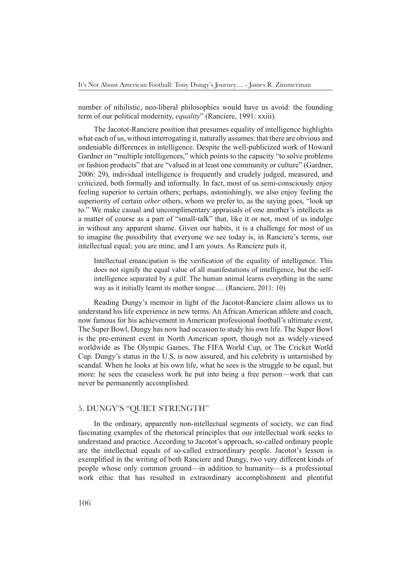number of nihilistic, neo-liberal philosophies would have us avoid: the founding term of our political modernity, *equality*" (Ranciere, 1991: xxiii).

The Jacotot-Ranciere position that presumes equality of intelligence highlights what each of us, without interrogating it, naturally assumes: that there are obvious and undeniable differences in intelligence. Despite the well-publicized work of Howard Gardner on "multiple intelligences," which points to the capacity "to solve problems or fashion products" that are "valued in at least one community or culture" (Gardner, 2006: 29), individual intelligence is frequently and crudely judged, measured, and criticized, both formally and informally. In fact, most of us semi-consciously enjoy feeling superior to certain others; perhaps, astonishingly, we also enjoy feeling the superiority of certain *other* others, whom we prefer to, as the saying goes, "look up to." We make casual and uncomplimentary appraisals of one another's intellects as a matter of course as a part of "small-talk" that, like it or not, most of us indulge in without any apparent shame. Given our habits, it is a challenge for most of us to imagine the possibility that everyone we see today is, in Ranciere's terms, our intellectual equal; you are mine, and I am yours. As Ranciere puts it,

Intellectual emancipation is the verification of the equality of intelligence. This does not signify the equal value of all manifestations of intelligence, but the selfintelligence separated by a gulf. The human animal learns everything in the same way as it initially learnt its mother tongue…. (Ranciere, 2011: 10)

Reading Dungy's memoir in light of the Jacotot-Ranciere claim allows us to understand his life experience in new terms. An African American athlete and coach, now famous for his achievement in American professional football's ultimate event, The Super Bowl, Dungy has now had occasion to study his own life. The Super Bowl is the pre-eminent event in North American sport, though not as widely-viewed worldwide as The Olympic Games, The FIFA World Cup, or The Cricket World Cup. Dungy's status in the U.S. is now assured, and his celebrity is untarnished by scandal. When he looks at his own life, what he sees is the struggle to be equal, but more: he sees the ceaseless work he put into being a free person—work that can never be permanently accomplished.

#### 5. DUNGY'S "QUIET STRENGTH"

In the ordinary, apparently non-intellectual segments of society, we can find fascinating examples of the rhetorical principles that our intellectual work seeks to understand and practice. According to Jacotot's approach, so-called ordinary people are the intellectual equals of so-called extraordinary people. Jacotot's lesson is exemplified in the writing of both Ranciere and Dungy, two very different kinds of people whose only common ground—in addition to humanity—is a professional work ethic that has resulted in extraordinary accomplishment and plentiful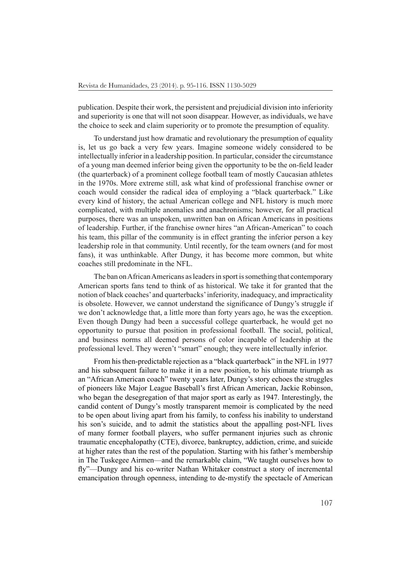publication. Despite their work, the persistent and prejudicial division into inferiority and superiority is one that will not soon disappear. However, as individuals, we have the choice to seek and claim superiority or to promote the presumption of equality.

To understand just how dramatic and revolutionary the presumption of equality is, let us go back a very few years. Imagine someone widely considered to be intellectually inferior in a leadership position. In particular, consider the circumstance of a young man deemed inferior being given the opportunity to be the on-field leader (the quarterback) of a prominent college football team of mostly Caucasian athletes in the 1970s. More extreme still, ask what kind of professional franchise owner or coach would consider the radical idea of employing a "black quarterback." Like every kind of history, the actual American college and NFL history is much more complicated, with multiple anomalies and anachronisms; however, for all practical purposes, there was an unspoken, unwritten ban on African Americans in positions of leadership. Further, if the franchise owner hires "an African-American" to coach his team, this pillar of the community is in effect granting the inferior person a key leadership role in that community. Until recently, for the team owners (and for most fans), it was unthinkable. After Dungy, it has become more common, but white coaches still predominate in the NFL.

The ban on African Americans as leaders in sport is something that contemporary American sports fans tend to think of as historical. We take it for granted that the notion of black coaches' and quarterbacks' inferiority, inadequacy, and impracticality is obsolete. However, we cannot understand the significance of Dungy's struggle if we don't acknowledge that, a little more than forty years ago, he was the exception. Even though Dungy had been a successful college quarterback, he would get no opportunity to pursue that position in professional football. The social, political, and business norms all deemed persons of color incapable of leadership at the professional level. They weren't "smart" enough; they were intellectually inferior.

From his then-predictable rejection as a "black quarterback" in the NFL in 1977 and his subsequent failure to make it in a new position, to his ultimate triumph as an "African American coach" twenty years later, Dungy's story echoes the struggles of pioneers like Major League Baseball's first African American, Jackie Robinson, who began the desegregation of that major sport as early as 1947. Interestingly, the candid content of Dungy's mostly transparent memoir is complicated by the need to be open about living apart from his family, to confess his inability to understand his son's suicide, and to admit the statistics about the appalling post-NFL lives of many former football players, who suffer permanent injuries such as chronic traumatic encephalopathy (CTE), divorce, bankruptcy, addiction, crime, and suicide at higher rates than the rest of the population. Starting with his father's membership in The Tuskegee Airmen—and the remarkable claim, "We taught ourselves how to fly"—Dungy and his co-writer Nathan Whitaker construct a story of incremental emancipation through openness, intending to de-mystify the spectacle of American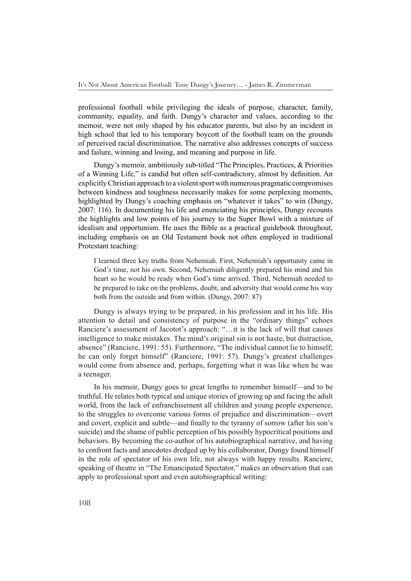professional football while privileging the ideals of purpose, character, family, community, equality, and faith. Dungy's character and values, according to the memoir, were not only shaped by his educator parents, but also by an incident in high school that led to his temporary boycott of the football team on the grounds of perceived racial discrimination. The narrative also addresses concepts of success and failure, winning and losing, and meaning and purpose in life.

Dungy's memoir, ambitiously sub-titled "The Principles, Practices, & Priorities of a Winning Life," is candid but often self-contradictory, almost by definition. An explicitly Christian approach to a violent sport with numerous pragmatic compromises between kindness and toughness necessarily makes for some perplexing moments, highlighted by Dungy's coaching emphasis on "whatever it takes" to win (Dungy, 2007: 116). In documenting his life and enunciating his principles, Dungy recounts the highlights and low points of his journey to the Super Bowl with a mixture of idealism and opportunism. He uses the Bible as a practical guidebook throughout, including emphasis on an Old Testament book not often employed in traditional Protestant teaching:

I learned three key truths from Nehemiah. First, Nehemiah's opportunity came in God's time, not his own. Second, Nehemiah diligently prepared his mind and his heart so he would be ready when God's time arrived. Third, Nehemiah needed to be prepared to take on the problems, doubt, and adversity that would come his way both from the outside and from within. (Dungy, 2007: 87)

Dungy is always trying to be prepared, in his profession and in his life. His attention to detail and consistency of purpose in the "ordinary things" echoes Ranciere's assessment of Jacotot's approach: "…it is the lack of will that causes intelligence to make mistakes. The mind's original sin is not haste, but distraction, absence" (Ranciere, 1991: 55). Furthermore, "The individual cannot lie to himself; he can only forget himself" (Ranciere, 1991: 57). Dungy's greatest challenges would come from absence and, perhaps, forgetting what it was like when he was a teenager.

In his memoir, Dungy goes to great lengths to remember himself—and to be truthful. He relates both typical and unique stories of growing up and facing the adult world, from the lack of enfranchisement all children and young people experience, to the struggles to overcome various forms of prejudice and discrimination—overt and covert, explicit and subtle—and finally to the tyranny of sorrow (after his son's suicide) and the shame of public perception of his possibly hypocritical positions and behaviors. By becoming the co-author of his autobiographical narrative, and having to confront facts and anecdotes dredged up by his collaborator, Dungy found himself in the role of spectator of his own life, not always with happy results. Ranciere, speaking of theatre in "The Emancipated Spectator," makes an observation that can apply to professional sport and even autobiographical writing: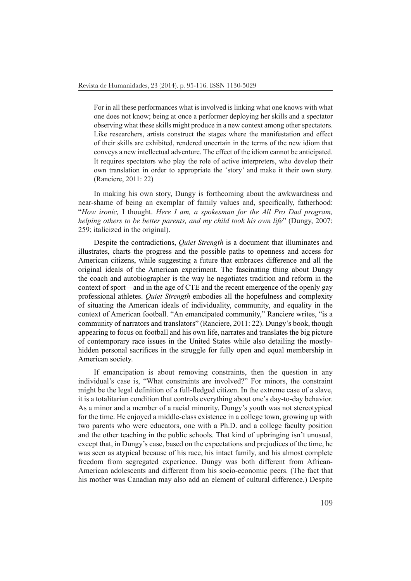For in all these performances what is involved is linking what one knows with what one does not know; being at once a performer deploying her skills and a spectator observing what these skills might produce in a new context among other spectators. Like researchers, artists construct the stages where the manifestation and effect of their skills are exhibited, rendered uncertain in the terms of the new idiom that conveys a new intellectual adventure. The effect of the idiom cannot be anticipated. It requires spectators who play the role of active interpreters, who develop their own translation in order to appropriate the 'story' and make it their own story. (Ranciere, 2011: 22)

In making his own story, Dungy is forthcoming about the awkwardness and near-shame of being an exemplar of family values and, specifically, fatherhood: "*How ironic*, I thought. *Here I am, a spokesman for the All Pro Dad program, helping others to be better parents, and my child took his own life*" (Dungy, 2007: 259; italicized in the original).

Despite the contradictions, *Quiet Strength* is a document that illuminates and illustrates, charts the progress and the possible paths to openness and access for American citizens, while suggesting a future that embraces difference and all the original ideals of the American experiment. The fascinating thing about Dungy the coach and autobiographer is the way he negotiates tradition and reform in the context of sport—and in the age of CTE and the recent emergence of the openly gay professional athletes. *Quiet Strength* embodies all the hopefulness and complexity of situating the American ideals of individuality, community, and equality in the context of American football. "An emancipated community," Ranciere writes, "is a community of narrators and translators" (Ranciere, 2011: 22). Dungy's book, though appearing to focus on football and his own life, narrates and translates the big picture of contemporary race issues in the United States while also detailing the mostlyhidden personal sacrifices in the struggle for fully open and equal membership in American society.

If emancipation is about removing constraints, then the question in any individual's case is, "What constraints are involved?" For minors, the constraint might be the legal definition of a full-fledged citizen. In the extreme case of a slave, it is a totalitarian condition that controls everything about one's day-to-day behavior. As a minor and a member of a racial minority, Dungy's youth was not stereotypical for the time. He enjoyed a middle-class existence in a college town, growing up with two parents who were educators, one with a Ph.D. and a college faculty position and the other teaching in the public schools. That kind of upbringing isn't unusual, except that, in Dungy's case, based on the expectations and prejudices of the time, he was seen as atypical because of his race, his intact family, and his almost complete freedom from segregated experience. Dungy was both different from African-American adolescents and different from his socio-economic peers. (The fact that his mother was Canadian may also add an element of cultural difference.) Despite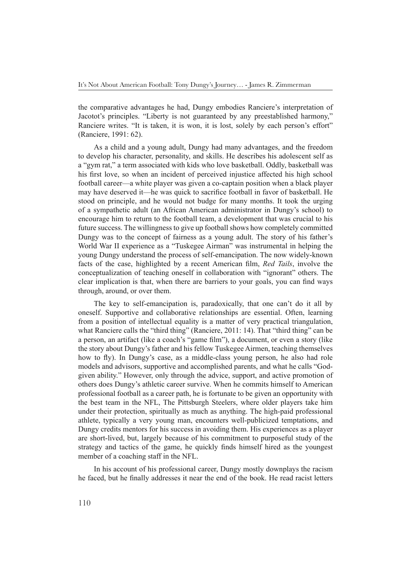the comparative advantages he had, Dungy embodies Ranciere's interpretation of Jacotot's principles. "Liberty is not guaranteed by any preestablished harmony," Ranciere writes. "It is taken, it is won, it is lost, solely by each person's effort" (Ranciere, 1991: 62).

As a child and a young adult, Dungy had many advantages, and the freedom to develop his character, personality, and skills. He describes his adolescent self as a "gym rat," a term associated with kids who love basketball. Oddly, basketball was his first love, so when an incident of perceived injustice affected his high school football career—a white player was given a co-captain position when a black player may have deserved it—he was quick to sacrifice football in favor of basketball. He stood on principle, and he would not budge for many months. It took the urging of a sympathetic adult (an African American administrator in Dungy's school) to encourage him to return to the football team, a development that was crucial to his future success. The willingness to give up football shows how completely committed Dungy was to the concept of fairness as a young adult. The story of his father's World War II experience as a "Tuskegee Airman" was instrumental in helping the young Dungy understand the process of self-emancipation. The now widely-known facts of the case, highlighted by a recent American film, *Red Tails*, involve the conceptualization of teaching oneself in collaboration with "ignorant" others. The clear implication is that, when there are barriers to your goals, you can find ways through, around, or over them.

The key to self-emancipation is, paradoxically, that one can't do it all by oneself. Supportive and collaborative relationships are essential. Often, learning from a position of intellectual equality is a matter of very practical triangulation, what Ranciere calls the "third thing" (Ranciere, 2011: 14). That "third thing" can be a person, an artifact (like a coach's "game film"), a document, or even a story (like the story about Dungy's father and his fellow Tuskegee Airmen, teaching themselves how to fly). In Dungy's case, as a middle-class young person, he also had role models and advisors, supportive and accomplished parents, and what he calls "Godgiven ability." However, only through the advice, support, and active promotion of others does Dungy's athletic career survive. When he commits himself to American professional football as a career path, he is fortunate to be given an opportunity with the best team in the NFL, The Pittsburgh Steelers, where older players take him under their protection, spiritually as much as anything. The high-paid professional athlete, typically a very young man, encounters well-publicized temptations, and Dungy credits mentors for his success in avoiding them. His experiences as a player are short-lived, but, largely because of his commitment to purposeful study of the strategy and tactics of the game, he quickly finds himself hired as the youngest member of a coaching staff in the NFL.

In his account of his professional career, Dungy mostly downplays the racism he faced, but he finally addresses it near the end of the book. He read racist letters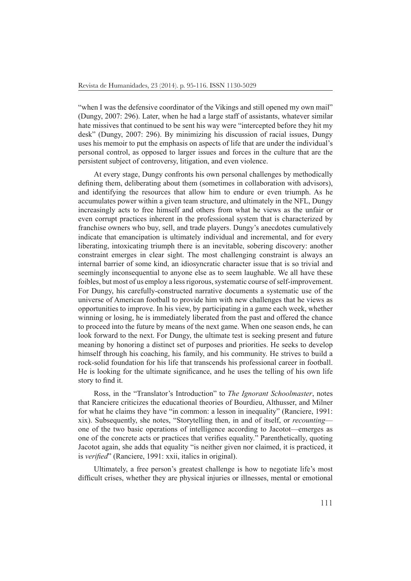"when I was the defensive coordinator of the Vikings and still opened my own mail" (Dungy, 2007: 296). Later, when he had a large staff of assistants, whatever similar hate missives that continued to be sent his way were "intercepted before they hit my desk" (Dungy, 2007: 296). By minimizing his discussion of racial issues, Dungy uses his memoir to put the emphasis on aspects of life that are under the individual's personal control, as opposed to larger issues and forces in the culture that are the persistent subject of controversy, litigation, and even violence.

At every stage, Dungy confronts his own personal challenges by methodically defining them, deliberating about them (sometimes in collaboration with advisors), and identifying the resources that allow him to endure or even triumph. As he accumulates power within a given team structure, and ultimately in the NFL, Dungy increasingly acts to free himself and others from what he views as the unfair or even corrupt practices inherent in the professional system that is characterized by franchise owners who buy, sell, and trade players. Dungy's anecdotes cumulatively indicate that emancipation is ultimately individual and incremental, and for every liberating, intoxicating triumph there is an inevitable, sobering discovery: another constraint emerges in clear sight. The most challenging constraint is always an internal barrier of some kind, an idiosyncratic character issue that is so trivial and seemingly inconsequential to anyone else as to seem laughable. We all have these foibles, but most of us employ a less rigorous, systematic course of self-improvement. For Dungy, his carefully-constructed narrative documents a systematic use of the universe of American football to provide him with new challenges that he views as opportunities to improve. In his view, by participating in a game each week, whether winning or losing, he is immediately liberated from the past and offered the chance to proceed into the future by means of the next game. When one season ends, he can look forward to the next. For Dungy, the ultimate test is seeking present and future meaning by honoring a distinct set of purposes and priorities. He seeks to develop himself through his coaching, his family, and his community. He strives to build a rock-solid foundation for his life that transcends his professional career in football. He is looking for the ultimate significance, and he uses the telling of his own life story to find it.

Ross, in the "Translator's Introduction" to *The Ignorant Schoolmaster*, notes that Ranciere criticizes the educational theories of Bourdieu, Althusser, and Milner for what he claims they have "in common: a lesson in inequality" (Ranciere, 1991: xix). Subsequently, she notes, "Storytelling then, in and of itself, or *recounting* one of the two basic operations of intelligence according to Jacotot—emerges as one of the concrete acts or practices that verifies equality." Parenthetically, quoting Jacotot again, she adds that equality "is neither given nor claimed, it is practiced, it is *verified*" (Ranciere, 1991: xxii, italics in original).

Ultimately, a free person's greatest challenge is how to negotiate life's most difficult crises, whether they are physical injuries or illnesses, mental or emotional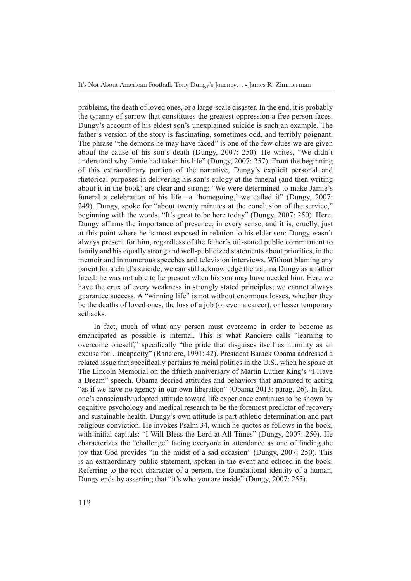problems, the death of loved ones, or a large-scale disaster. In the end, it is probably the tyranny of sorrow that constitutes the greatest oppression a free person faces. Dungy's account of his eldest son's unexplained suicide is such an example. The father's version of the story is fascinating, sometimes odd, and terribly poignant. The phrase "the demons he may have faced" is one of the few clues we are given about the cause of his son's death (Dungy, 2007: 250). He writes, "We didn't understand why Jamie had taken his life" (Dungy, 2007: 257). From the beginning of this extraordinary portion of the narrative, Dungy's explicit personal and rhetorical purposes in delivering his son's eulogy at the funeral (and then writing about it in the book) are clear and strong: "We were determined to make Jamie's funeral a celebration of his life—a 'homegoing,' we called it" (Dungy, 2007: 249). Dungy, spoke for "about twenty minutes at the conclusion of the service," beginning with the words, "It's great to be here today" (Dungy, 2007: 250). Here, Dungy affirms the importance of presence, in every sense, and it is, cruelly, just at this point where he is most exposed in relation to his elder son: Dungy wasn't always present for him, regardless of the father's oft-stated public commitment to family and his equally strong and well-publicized statements about priorities, in the memoir and in numerous speeches and television interviews. Without blaming any parent for a child's suicide, we can still acknowledge the trauma Dungy as a father faced: he was not able to be present when his son may have needed him. Here we have the crux of every weakness in strongly stated principles; we cannot always guarantee success. A "winning life" is not without enormous losses, whether they be the deaths of loved ones, the loss of a job (or even a career), or lesser temporary setbacks.

In fact, much of what any person must overcome in order to become as emancipated as possible is internal. This is what Ranciere calls "learning to overcome oneself," specifically "the pride that disguises itself as humility as an excuse for…incapacity" (Ranciere, 1991: 42). President Barack Obama addressed a related issue that specifically pertains to racial politics in the U.S., when he spoke at The Lincoln Memorial on the fiftieth anniversary of Martin Luther King's "I Have a Dream" speech. Obama decried attitudes and behaviors that amounted to acting "as if we have no agency in our own liberation" (Obama 2013: parag. 26). In fact, one's consciously adopted attitude toward life experience continues to be shown by cognitive psychology and medical research to be the foremost predictor of recovery and sustainable health. Dungy's own attitude is part athletic determination and part religious conviction. He invokes Psalm 34, which he quotes as follows in the book, with initial capitals: "I Will Bless the Lord at All Times" (Dungy, 2007: 250). He characterizes the "challenge" facing everyone in attendance as one of finding the joy that God provides "in the midst of a sad occasion" (Dungy, 2007: 250). This is an extraordinary public statement, spoken in the event and echoed in the book. Referring to the root character of a person, the foundational identity of a human, Dungy ends by asserting that "it's who you are inside" (Dungy, 2007: 255).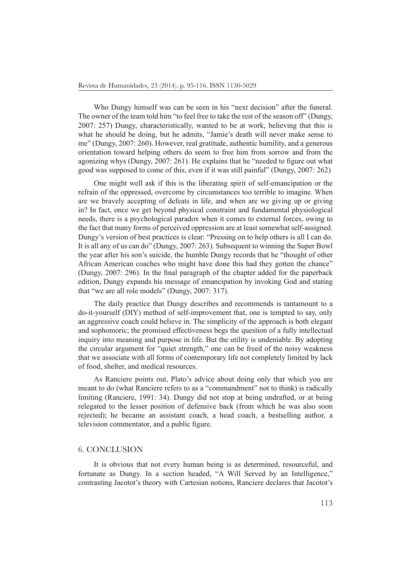Who Dungy himself was can be seen in his "next decision" after the funeral. The owner of the team told him "to feel free to take the rest of the season off" (Dungy, 2007: 257) Dungy, characteristically, wanted to be at work, believing that this is what he should be doing, but he admits, "Jamie's death will never make sense to me" (Dungy, 2007: 260). However, real gratitude, authentic humility, and a generous orientation toward helping others do seem to free him from sorrow and from the agonizing whys (Dungy, 2007: 261). He explains that he "needed to figure out what good was supposed to come of this, even if it was still painful" (Dungy, 2007: 262)

One might well ask if this is the liberating spirit of self-emancipation or the refrain of the oppressed, overcome by circumstances too terrible to imagine. When are we bravely accepting of defeats in life, and when are we giving up or giving in? In fact, once we get beyond physical constraint and fundamental physiological needs, there is a psychological paradox when it comes to external forces, owing to the fact that many forms of perceived oppression are at least somewhat self-assigned. Dungy's version of best practices is clear: "Pressing on to help others is all I can do. It is all any of us can do" (Dungy, 2007: 263). Subsequent to winning the Super Bowl the year after his son's suicide, the humble Dungy records that he "thought of other African American coaches who might have done this had they gotten the chance" (Dungy,  $2007$ ;  $296$ ). In the final paragraph of the chapter added for the paperback edition, Dungy expands his message of emancipation by invoking God and stating that "we are all role models" (Dungy, 2007: 317).

The daily practice that Dungy describes and recommends is tantamount to a do-it-yourself (DIY) method of self-improvement that, one is tempted to say, only an aggressive coach could believe in. The simplicity of the approach is both elegant and sophomoric; the promised effectiveness begs the question of a fully intellectual inquiry into meaning and purpose in life. But the utility is undeniable. By adopting the circular argument for "quiet strength," one can be freed of the noisy weakness that we associate with all forms of contemporary life not completely limited by lack of food, shelter, and medical resources.

As Ranciere points out, Plato's advice about doing only that which you are meant to do (what Ranciere refers to as a "commandment" not to think) is radically limiting (Ranciere, 1991: 34). Dungy did not stop at being undrafted, or at being relegated to the lesser position of defensive back (from which he was also soon rejected); he became an assistant coach, a head coach, a bestselling author, a television commentator, and a public figure.

### 6. CONCLUSION

It is obvious that not every human being is as determined, resourceful, and fortunate as Dungy. In a section headed, "A Will Served by an Intelligence," contrasting Jacotot's theory with Cartesian notions, Ranciere declares that Jacotot's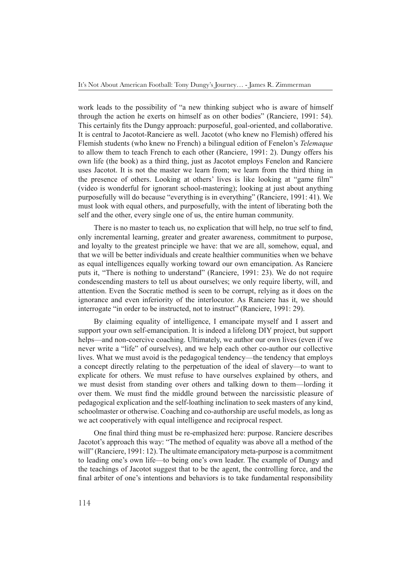work leads to the possibility of "a new thinking subject who is aware of himself through the action he exerts on himself as on other bodies" (Ranciere, 1991: 54). This certainly fits the Dungy approach: purposeful, goal-oriented, and collaborative. It is central to Jacotot-Ranciere as well. Jacotot (who knew no Flemish) offered his Flemish students (who knew no French) a bilingual edition of Fenelon's *Telemaque*  to allow them to teach French to each other (Ranciere, 1991: 2). Dungy offers his own life (the book) as a third thing, just as Jacotot employs Fenelon and Ranciere uses Jacotot. It is not the master we learn from; we learn from the third thing in the presence of others. Looking at others' lives is like looking at "game film" (video is wonderful for ignorant school-mastering); looking at just about anything purposefully will do because "everything is in everything" (Ranciere, 1991: 41). We must look with equal others, and purposefully, with the intent of liberating both the self and the other, every single one of us, the entire human community.

There is no master to teach us, no explication that will help, no true self to find, only incremental learning, greater and greater awareness, commitment to purpose, and loyalty to the greatest principle we have: that we are all, somehow, equal, and that we will be better individuals and create healthier communities when we behave as equal intelligences equally working toward our own emancipation. As Ranciere puts it, "There is nothing to understand" (Ranciere, 1991: 23). We do not require condescending masters to tell us about ourselves; we only require liberty, will, and attention. Even the Socratic method is seen to be corrupt, relying as it does on the ignorance and even inferiority of the interlocutor. As Ranciere has it, we should interrogate "in order to be instructed, not to instruct" (Ranciere, 1991: 29).

By claiming equality of intelligence. I emancipate myself and I assert and support your own self-emancipation. It is indeed a lifelong DIY project, but support helps—and non-coercive coaching. Ultimately, we author our own lives (even if we never write a "life" of ourselves), and we help each other co-author our collective lives. What we must avoid is the pedagogical tendency—the tendency that employs a concept directly relating to the perpetuation of the ideal of slavery—to want to explicate for others. We must refuse to have ourselves explained by others, and we must desist from standing over others and talking down to them—lording it over them. We must find the middle ground between the narcissistic pleasure of pedagogical explication and the self-loathing inclination to seek masters of any kind, schoolmaster or otherwise. Coaching and co-authorship are useful models, as long as we act cooperatively with equal intelligence and reciprocal respect.

One final third thing must be re-emphasized here: purpose. Ranciere describes Jacotot's approach this way: "The method of equality was above all a method of the will" (Ranciere, 1991: 12). The ultimate emancipatory meta-purpose is a commitment to leading one's own life—to being one's own leader. The example of Dungy and the teachings of Jacotot suggest that to be the agent, the controlling force, and the final arbiter of one's intentions and behaviors is to take fundamental responsibility